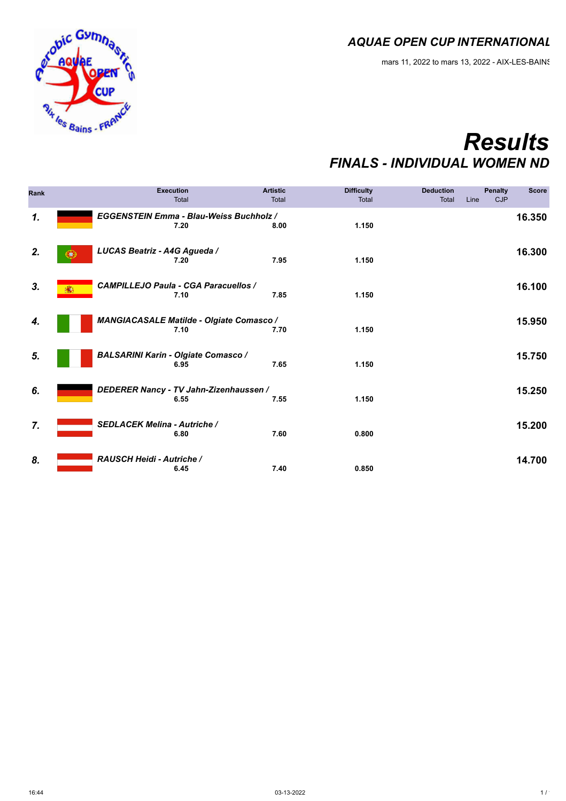mars 11, 2022 to mars 13, 2022 - AIX-LES-BAINS



### *Results FINALS - INDIVIDUAL WOMEN ND*

| <b>Rank</b>  |                                     | <b>Execution</b><br>Total                              | <b>Artistic</b><br>Total | <b>Difficulty</b><br>Total | <b>Deduction</b><br>Line<br><b>Total</b> | <b>Penalty</b><br>CJP | <b>Score</b> |
|--------------|-------------------------------------|--------------------------------------------------------|--------------------------|----------------------------|------------------------------------------|-----------------------|--------------|
| $\mathbf{1}$ |                                     | <b>EGGENSTEIN Emma - Blau-Weiss Buchholz /</b><br>7.20 | 8.00                     | 1.150                      |                                          |                       | 16.350       |
| 2.           | LUCAS Beatriz - A4G Agueda /        | 7.20                                                   | 7.95                     | 1.150                      |                                          |                       | 16.300       |
| 3.           |                                     | <b>CAMPILLEJO Paula - CGA Paracuellos /</b><br>7.10    | 7.85                     | 1.150                      |                                          |                       | 16.100       |
| 4.           |                                     | MANGIACASALE Matilde - Olgiate Comasco /<br>7.10       | 7.70                     | 1.150                      |                                          |                       | 15.950       |
| 5.           |                                     | <b>BALSARINI Karin - Olgiate Comasco /</b><br>6.95     | 7.65                     | 1.150                      |                                          |                       | 15.750       |
| 6.           |                                     | DEDERER Nancy - TV Jahn-Zizenhaussen /<br>6.55         | 7.55                     | 1.150                      |                                          |                       | 15.250       |
| 7.           | <b>SEDLACEK Melina - Autriche /</b> | 6.80                                                   | 7.60                     | 0.800                      |                                          |                       | 15.200       |
| 8.           | RAUSCH Heidi - Autriche /           | 6.45                                                   | 7.40                     | 0.850                      |                                          |                       | 14.700       |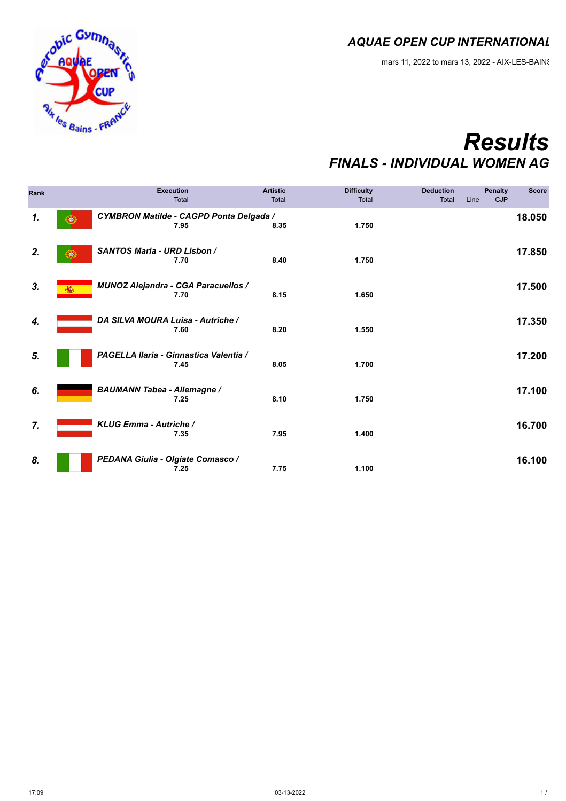mars 11, 2022 to mars 13, 2022 - AIX-LES-BAINS



### *Results FINALS - INDIVIDUAL WOMEN AG*

| <b>Rank</b>                  |                                    | <b>Execution</b><br><b>Total</b>                       | <b>Artistic</b><br>Total | <b>Difficulty</b><br>Total | <b>Deduction</b><br><b>Total</b> | <b>Penalty</b><br><b>CJP</b><br>Line | <b>Score</b> |
|------------------------------|------------------------------------|--------------------------------------------------------|--------------------------|----------------------------|----------------------------------|--------------------------------------|--------------|
| $\boldsymbol{\mathcal{1}}$ . | w                                  | <b>CYMBRON Matilde - CAGPD Ponta Delgada /</b><br>7.95 | 8.35                     | 1.750                      |                                  |                                      | 18.050       |
| 2.                           | <b>SANTOS Maria - URD Lisbon /</b> | 7.70                                                   | 8.40                     | 1.750                      |                                  |                                      | 17.850       |
| 3.                           | 臝                                  | <b>MUNOZ Alejandra - CGA Paracuellos /</b><br>7.70     | 8.15                     | 1.650                      |                                  |                                      | 17.500       |
| 4.                           | DA SILVA MOURA Luisa - Autriche /  | 7.60                                                   | 8.20                     | 1.550                      |                                  |                                      | 17.350       |
| 5.                           |                                    | PAGELLA Ilaria - Ginnastica Valentia /<br>7.45         | 8.05                     | 1.700                      |                                  |                                      | 17.200       |
| 6.                           | <b>BAUMANN Tabea - Allemagne /</b> | 7.25                                                   | 8.10                     | 1.750                      |                                  |                                      | 17.100       |
| 7.                           | KLUG Emma - Autriche /             | 7.35                                                   | 7.95                     | 1.400                      |                                  |                                      | 16.700       |
| 8.                           |                                    | PEDANA Giulia - Olgiate Comasco /<br>7.25              | 7.75                     | 1.100                      |                                  |                                      | 16.100       |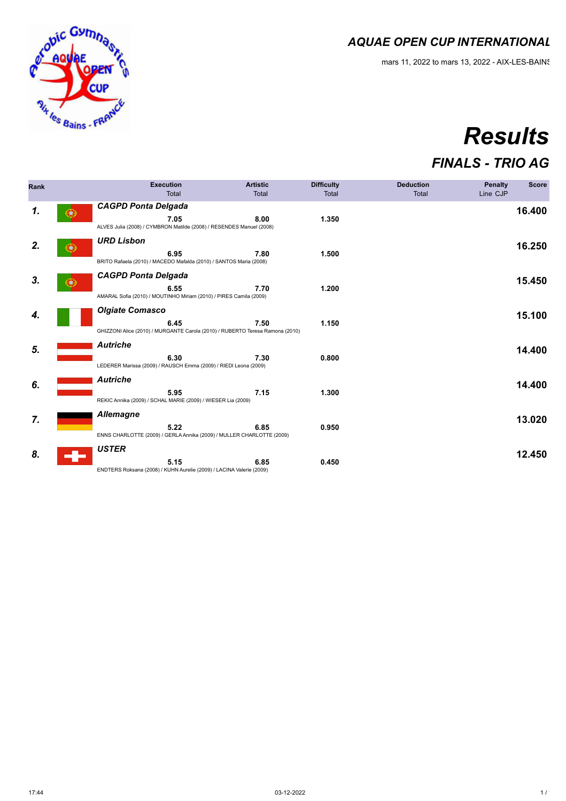mars 11, 2022 to mars 13, 2022 - AIX-LES-BAINS



# *Results*

### *FINALS - TRIO AG*

| Rank |   | <b>Execution</b><br><b>Total</b>                                                                                | <b>Artistic</b><br>Total | <b>Difficulty</b><br>Total | <b>Deduction</b><br>Total | <b>Penalty</b><br>Line CJP | <b>Score</b> |
|------|---|-----------------------------------------------------------------------------------------------------------------|--------------------------|----------------------------|---------------------------|----------------------------|--------------|
| 1.   |   | <b>CAGPD Ponta Delgada</b><br>7.05<br>ALVES Julia (2008) / CYMBRON Matilde (2008) / RESENDES Manuel (2008)      | 8.00                     | 1.350                      |                           |                            | 16.400       |
| 2.   |   | <b>URD Lisbon</b><br>6.95<br>BRITO Rafaela (2010) / MACEDO Mafalda (2010) / SANTOS Maria (2008)                 | 7.80                     | 1.500                      |                           |                            | 16.250       |
| 3.   | ◆ | <b>CAGPD Ponta Delgada</b><br>6.55<br>AMARAL Sofia (2010) / MOUTINHO Miriam (2010) / PIRES Camila (2009)        | 7.70                     | 1.200                      |                           |                            | 15.450       |
| 4.   |   | <b>Olgiate Comasco</b><br>6.45<br>GHIZZONI Alice (2010) / MURGANTE Carola (2010) / RUBERTO Teresa Ramona (2010) | 7.50                     | 1.150                      |                           |                            | 15.100       |
| 5.   |   | <b>Autriche</b><br>6.30<br>LEDERER Marissa (2009) / RAUSCH Emma (2009) / RIEDI Leona (2009)                     | 7.30                     | 0.800                      |                           |                            | 14.400       |
| 6.   |   | <b>Autriche</b><br>5.95<br>REKIC Annika (2009) / SCHAL MARIE (2009) / WIESER Lia (2009)                         | 7.15                     | 1.300                      |                           |                            | 14.400       |
| 7.   |   | <b>Allemagne</b><br>5.22<br>ENNS CHARLOTTE (2009) / GERLA Annika (2009) / MULLER CHARLOTTE (2009)               | 6.85                     | 0.950                      |                           |                            | 13.020       |
| 8.   |   | <b>USTER</b><br>5.15<br>ENDTERS Roksana (2008) / KUHN Aurelie (2009) / LACINA Valerie (2009)                    | 6.85                     | 0.450                      |                           |                            | 12.450       |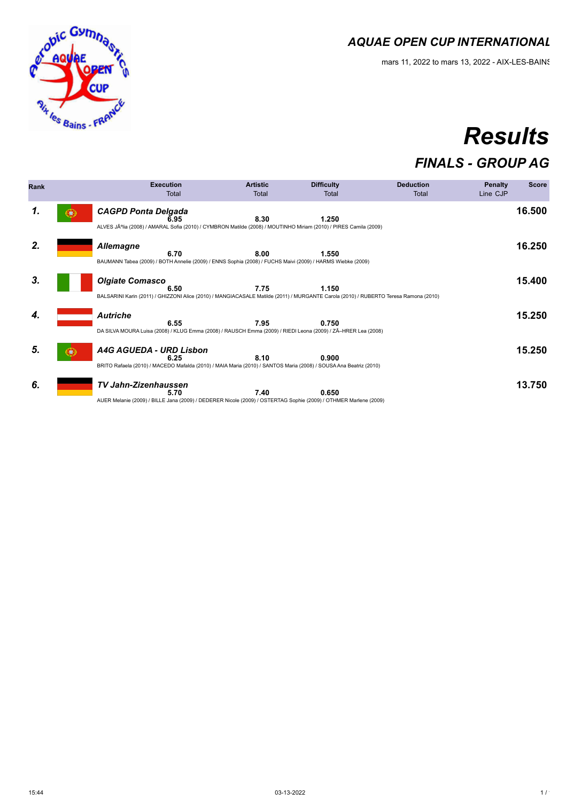

# *Results*

### *FINALS - GROUP AG*

| Rank | <b>Execution</b><br>Total                                                                                                                                              | <b>Artistic</b><br>Total | <b>Difficulty</b><br>Total | <b>Deduction</b><br>Total | <b>Penalty</b><br>Line CJP | <b>Score</b> |
|------|------------------------------------------------------------------------------------------------------------------------------------------------------------------------|--------------------------|----------------------------|---------------------------|----------------------------|--------------|
| 1.   | <b>CAGPD Ponta Delgada</b><br>6.95<br>ALVES Júlia (2008) / AMARAL Sofia (2010) / CYMBRON Matilde (2008) / MOUTINHO Miriam (2010) / PIRES Camila (2009)                 | 8.30                     | 1.250                      |                           |                            | 16.500       |
| 2.   | <b>Allemagne</b><br>6.70<br>BAUMANN Tabea (2009) / BOTH Annelie (2009) / ENNS Sophia (2008) / FUCHS Maivi (2009) / HARMS Wiebke (2009)                                 | 8.00                     | 1.550                      |                           |                            | 16.250       |
| 3.   | <b>Olgiate Comasco</b><br>6.50<br>BALSARINI Karin (2011) / GHIZZONI Alice (2010) / MANGIACASALE Matilde (2011) / MURGANTE Carola (2010) / RUBERTO Teresa Ramona (2010) | 7.75                     | 1.150                      |                           |                            | 15.400       |
| 4.   | <b>Autriche</b><br>6.55<br>DA SILVA MOURA Luisa (2008) / KLUG Emma (2008) / RAUSCH Emma (2009) / RIEDI Leona (2009) / ZÃ-HRER Lea (2008)                               | 7.95                     | 0.750                      |                           |                            | 15.250       |
| 5.   | A4G AGUEDA - URD Lisbon<br>6.25<br>BRITO Rafaela (2010) / MACEDO Mafalda (2010) / MAIA Maria (2010) / SANTOS Maria (2008) / SOUSA Ana Beatriz (2010)                   | 8.10                     | 0.900                      |                           |                            | 15.250       |
| 6.   | <b>TV Jahn-Zizenhaussen</b><br>5.70<br>AUER Melanie (2009) / BILLE Jana (2009) / DEDERER Nicole (2009) / OSTERTAG Sophie (2009) / OTHMER Marlene (2009)                | 7.40                     | 0.650                      |                           |                            | 13.750       |

e conc Gymnas

**Rix les Bains - FRE**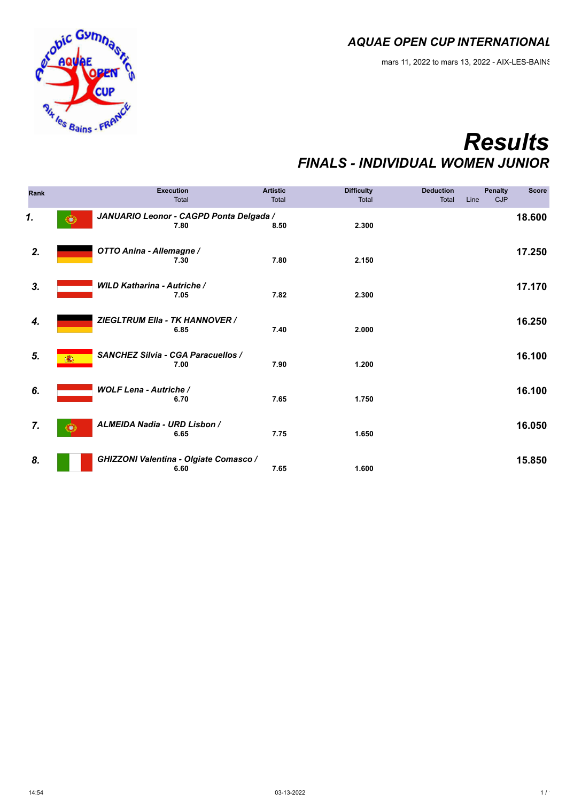mars 11, 2022 to mars 13, 2022 - AIX-LES-BAINS



### *Results FINALS - INDIVIDUAL WOMEN JUNIOR*

| Rank |                                      | <b>Execution</b><br>Total                       | <b>Artistic</b><br><b>Total</b> | <b>Difficulty</b><br>Total | <b>Deduction</b><br>Total | Line | <b>Penalty</b><br><b>CJP</b> | <b>Score</b> |
|------|--------------------------------------|-------------------------------------------------|---------------------------------|----------------------------|---------------------------|------|------------------------------|--------------|
| 1.   |                                      | JANUARIO Leonor - CAGPD Ponta Delgada /<br>7.80 | 8.50                            | 2.300                      |                           |      |                              | 18.600       |
| 2.   | OTTO Anina - Allemagne /             | 7.30                                            | 7.80                            | 2.150                      |                           |      |                              | 17.250       |
| 3.   | <b>WILD Katharina - Autriche /</b>   | 7.05                                            | 7.82                            | 2.300                      |                           |      |                              | 17.170       |
| 4.   |                                      | ZIEGLTRUM Ella - TK HANNOVER /<br>6.85          | 7.40                            | 2.000                      |                           |      |                              | 16.250       |
| 5.   | 蠹                                    | SANCHEZ Silvia - CGA Paracuellos /<br>7.00      | 7.90                            | 1.200                      |                           |      |                              | 16.100       |
| 6.   | <b>WOLF Lena - Autriche /</b>        | 6.70                                            | 7.65                            | 1.750                      |                           |      |                              | 16.100       |
| 7.   | ALMEIDA Nadia - URD Lisbon /<br>EU 3 | 6.65                                            | 7.75                            | 1.650                      |                           |      |                              | 16.050       |
| 8.   |                                      | GHIZZONI Valentina - Olgiate Comasco /<br>6.60  | 7.65                            | 1.600                      |                           |      |                              | 15.850       |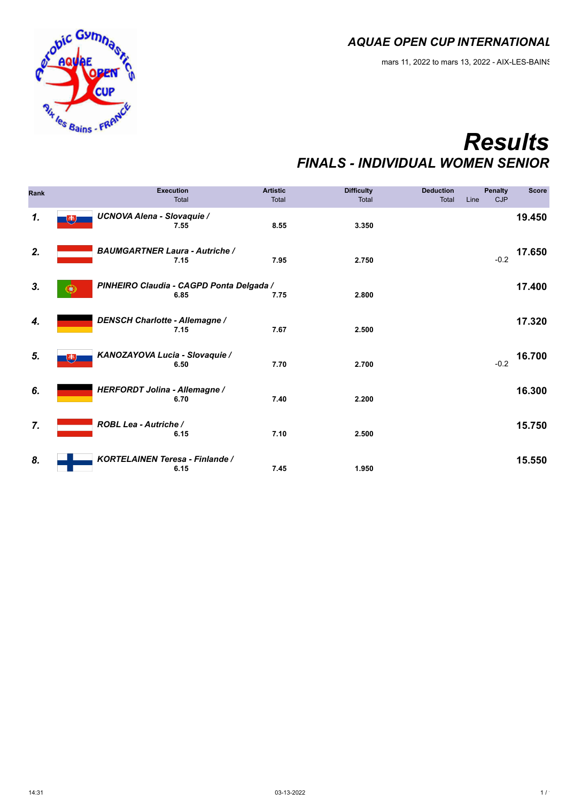mars 11, 2022 to mars 13, 2022 - AIX-LES-BAINS



## *Results FINALS - INDIVIDUAL WOMEN SENIOR*

| Rank |                                        | <b>Execution</b><br>Total                        | <b>Artistic</b><br>Total | <b>Difficulty</b><br>Total | <b>Deduction</b><br>Total | Line | <b>Penalty</b><br><b>CJP</b> | <b>Score</b> |
|------|----------------------------------------|--------------------------------------------------|--------------------------|----------------------------|---------------------------|------|------------------------------|--------------|
| 1.   | <b>UCNOVA Alena - Slovaquie /</b><br>电 | 7.55                                             | 8.55                     | 3.350                      |                           |      |                              | 19.450       |
| 2.   | <b>BAUMGARTNER Laura - Autriche /</b>  | 7.15                                             | 7.95                     | 2.750                      |                           |      | $-0.2$                       | 17.650       |
| 3.   |                                        | PINHEIRO Claudia - CAGPD Ponta Delgada /<br>6.85 | 7.75                     | 2.800                      |                           |      |                              | 17.400       |
| 4.   | <b>DENSCH Charlotte - Allemagne /</b>  | 7.15                                             | 7.67                     | 2.500                      |                           |      |                              | 17.320       |
| 5.   | KANOZAYOVA Lucia - Slovaquie /<br>电    | 6.50                                             | 7.70                     | 2.700                      |                           |      | $-0.2$                       | 16.700       |
| 6.   | HERFORDT Jolina - Allemagne /          | 6.70                                             | 7.40                     | 2.200                      |                           |      |                              | 16.300       |
| 7.   | ROBL Lea - Autriche /                  | 6.15                                             | 7.10                     | 2.500                      |                           |      |                              | 15.750       |
| 8.   | KORTELAINEN Teresa - Finlande /        | 6.15                                             | 7.45                     | 1.950                      |                           |      |                              | 15.550       |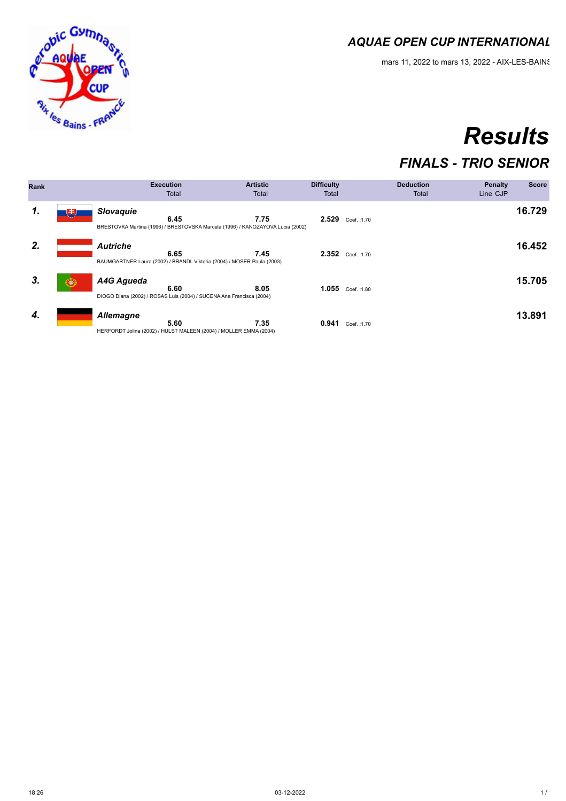mars 11, 2022 to mars 13, 2022 - AIX-LES-BAINS

# *Results*

### *FINALS - TRIO SENIOR*

| <b>Rank</b> |              |                   | <b>Execution</b><br>Total                                                              | <b>Artistic</b><br>Total | <b>Difficulty</b><br>Total |                  | <b>Deduction</b><br>Total | <b>Penalty</b><br>Line CJP | <b>Score</b> |
|-------------|--------------|-------------------|----------------------------------------------------------------------------------------|--------------------------|----------------------------|------------------|---------------------------|----------------------------|--------------|
| 1.          | 电            | <b>Slovaguie</b>  | 6.45<br>BRESTOVKA Martina (1996) / BRESTOVSKA Marcela (1996) / KANOZAYOVA Lucia (2002) | 7.75                     |                            | 2.529 Coef.:1.70 |                           |                            | 16.729       |
| 2.          |              | <b>Autriche</b>   | 6.65<br>BAUMGARTNER Laura (2002) / BRANDL Viktoria (2004) / MOSER Paula (2003)         | 7.45                     |                            | 2.352 Coef.:1.70 |                           |                            | 16.452       |
| 3.          | $\mathbf{C}$ | <b>A4G Aqueda</b> | 6.60<br>DIOGO Diana (2002) / ROSAS Luis (2004) / SUCENA Ana Francisca (2004)           | 8.05                     |                            | 1.055 Coef.:1.80 |                           |                            | 15.705       |
| 4.          |              | <b>Allemagne</b>  | 5.60<br>HERFORDT Jolina (2002) / HULST MALEEN (2004) / MOLLER EMMA (2004)              | 7.35                     | 0.941                      | Coef.: 1.70      |                           |                            | 13.891       |

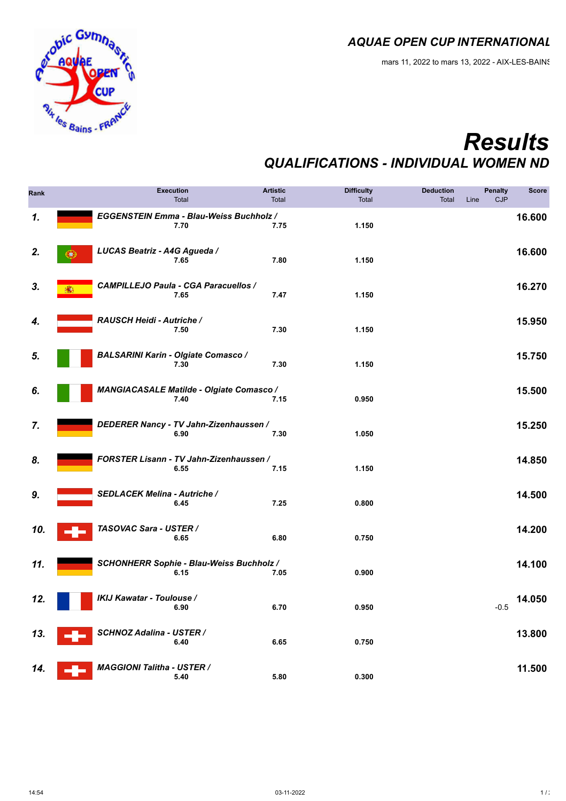

## *Results QUALIFICATIONS - INDIVIDUAL WOMEN ND*

| Rank |   | <b>Execution</b><br>Total                               | <b>Artistic</b><br>Total | <b>Difficulty</b><br>Total | <b>Deduction</b><br>Total | <b>Penalty</b><br><b>CJP</b><br>Line | <b>Score</b> |
|------|---|---------------------------------------------------------|--------------------------|----------------------------|---------------------------|--------------------------------------|--------------|
| 1.   |   | EGGENSTEIN Emma - Blau-Weiss Buchholz /<br>7.70         | 7.75                     | 1.150                      |                           |                                      | 16.600       |
| 2.   | ω | LUCAS Beatriz - A4G Agueda /<br>7.65                    | 7.80                     | 1.150                      |                           |                                      | 16.600       |
| 3.   |   | <b>CAMPILLEJO Paula - CGA Paracuellos /</b><br>7.65     | 7.47                     | 1.150                      |                           |                                      | 16.270       |
| 4.   |   | RAUSCH Heidi - Autriche /<br>7.50                       | 7.30                     | 1.150                      |                           |                                      | 15.950       |
| 5.   |   | <b>BALSARINI Karin - Olgiate Comasco /</b><br>7.30      | 7.30                     | 1.150                      |                           |                                      | 15.750       |
| 6.   |   | <b>MANGIACASALE Matilde - Olgiate Comasco /</b><br>7.40 | 7.15                     | 0.950                      |                           |                                      | 15.500       |
| 7.   |   | DEDERER Nancy - TV Jahn-Zizenhaussen /<br>6.90          | 7.30                     | 1.050                      |                           |                                      | 15.250       |
| 8.   |   | FORSTER Lisann - TV Jahn-Zizenhaussen /<br>6.55         | 7.15                     | 1.150                      |                           |                                      | 14.850       |
| 9.   |   | SEDLACEK Melina - Autriche /<br>6.45                    | 7.25                     | 0.800                      |                           |                                      | 14.500       |
| 10.  |   | TASOVAC Sara - USTER /<br>6.65                          | 6.80                     | 0.750                      |                           |                                      | 14.200       |
| 11.  |   | SCHONHERR Sophie - Blau-Weiss Buchholz /<br>6.15        | 7.05                     | 0.900                      |                           |                                      | 14.100       |
| 12.  |   | <b>IKIJ Kawatar - Toulouse /</b><br>6.90                | 6.70                     | 0.950                      |                           | $-0.5$                               | 14.050       |
| 13.  |   | <b>SCHNOZ Adalina - USTER /</b><br>6.40                 | 6.65                     | 0.750                      |                           |                                      | 13.800       |
| 14.  |   | <b>MAGGIONI Talitha - USTER /</b><br>5.40               | 5.80                     | 0.300                      |                           |                                      | 11.500       |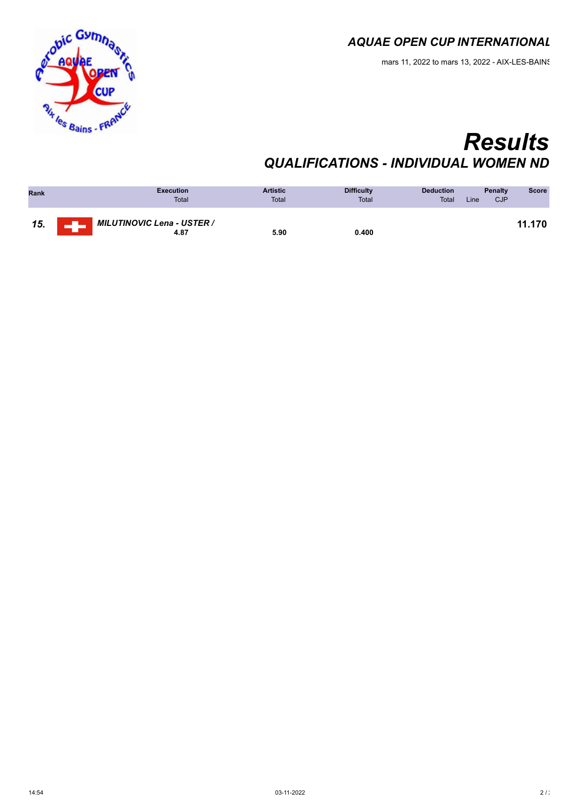

## *Results QUALIFICATIONS - INDIVIDUAL WOMEN ND*

| Rank | <b>Execution</b><br><b>Total</b>     | <b>Artistic</b><br>Total | <b>Difficulty</b><br><b>Total</b> | <b>Deduction</b><br><b>Total</b> | <b>Penalty</b><br><b>CJP</b><br>Line | <b>Score</b> |
|------|--------------------------------------|--------------------------|-----------------------------------|----------------------------------|--------------------------------------|--------------|
| 15.  | , MILUTINOVIC Lena - USTER /<br>4.87 | 5.90                     | 0.400                             |                                  |                                      | 11.170       |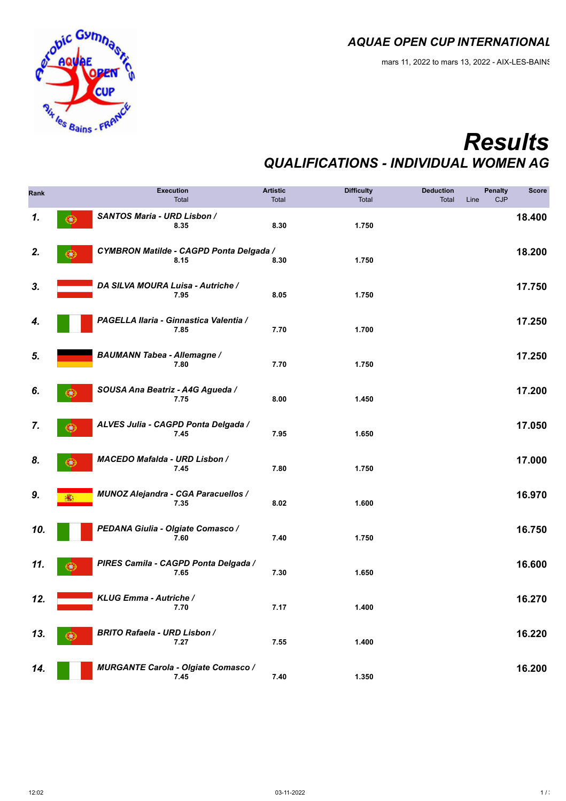

## *Results QUALIFICATIONS - INDIVIDUAL WOMEN AG*

| Rank |         | <b>Execution</b><br>Total                          | <b>Artistic</b><br><b>Total</b> | <b>Difficulty</b><br>Total | <b>Deduction</b><br>Total | <b>Penalty</b><br>CJP<br>Line | <b>Score</b> |
|------|---------|----------------------------------------------------|---------------------------------|----------------------------|---------------------------|-------------------------------|--------------|
| 1.   | $\odot$ | SANTOS Maria - URD Lisbon /<br>8.35                | 8.30                            | 1.750                      |                           |                               | 18.400       |
| 2.   | σ       | CYMBRON Matilde - CAGPD Ponta Delgada /<br>8.15    | 8.30                            | 1.750                      |                           |                               | 18.200       |
| 3.   |         | DA SILVA MOURA Luisa - Autriche /<br>7.95          | 8.05                            | 1.750                      |                           |                               | 17.750       |
| 4.   |         | PAGELLA Ilaria - Ginnastica Valentia /<br>7.85     | 7.70                            | 1.700                      |                           |                               | 17.250       |
| 5.   |         | <b>BAUMANN Tabea - Allemagne /</b><br>7.80         | 7.70                            | 1.750                      |                           |                               | 17.250       |
| 6.   | æ.      | SOUSA Ana Beatriz - A4G Agueda /<br>7.75           | 8.00                            | 1.450                      |                           |                               | 17.200       |
| 7.   | Œ.      | ALVES Julia - CAGPD Ponta Delgada /<br>7.45        | 7.95                            | 1.650                      |                           |                               | 17.050       |
| 8.   | u.      | MACEDO Mafalda - URD Lisbon /<br>7.45              | 7.80                            | 1.750                      |                           |                               | 17.000       |
| 9.   |         | MUNOZ Alejandra - CGA Paracuellos /<br>7.35        | 8.02                            | 1.600                      |                           |                               | 16.970       |
| 10.  |         | PEDANA Giulia - Olgiate Comasco /<br>7.60          | 7.40                            | 1.750                      |                           |                               | 16.750       |
| 11.  |         | PIRES Camila - CAGPD Ponta Delgada /<br>7.65       | 7.30                            | 1.650                      |                           |                               | 16.600       |
| 12.  |         | KLUG Emma - Autriche /<br>7.70                     | 7.17                            | 1.400                      |                           |                               | 16.270       |
| 13.  | œ       | <b>BRITO Rafaela - URD Lisbon /</b><br>7.27        | 7.55                            | 1.400                      |                           |                               | 16.220       |
| 14.  |         | <b>MURGANTE Carola - Olgiate Comasco /</b><br>7.45 | 7.40                            | 1.350                      |                           |                               | 16.200       |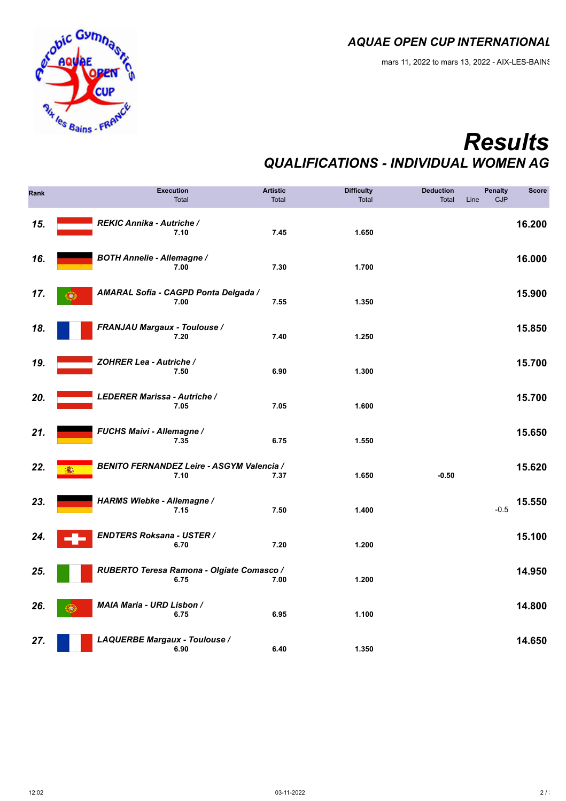

### *Results QUALIFICATIONS - INDIVIDUAL WOMEN AG*

| Rank | <b>Execution</b><br>Total                                | <b>Artistic</b><br>Total | <b>Difficulty</b><br>Total | <b>Deduction</b><br><b>Total</b><br>Line | <b>Penalty</b><br><b>CJP</b> | <b>Score</b> |
|------|----------------------------------------------------------|--------------------------|----------------------------|------------------------------------------|------------------------------|--------------|
| 15.  | REKIC Annika - Autriche /<br>7.10                        | 7.45                     | 1.650                      |                                          |                              | 16.200       |
| 16.  | <b>BOTH Annelie - Allemagne /</b><br>7.00                | 7.30                     | 1.700                      |                                          |                              | 16.000       |
| 17.  | AMARAL Sofia - CAGPD Ponta Delgada /<br>O)<br>7.00       | 7.55                     | 1.350                      |                                          |                              | 15.900       |
| 18.  | <b>FRANJAU Margaux - Toulouse /</b><br>7.20              | 7.40                     | 1.250                      |                                          |                              | 15.850       |
| 19.  | ZOHRER Lea - Autriche /<br>7.50                          | 6.90                     | 1.300                      |                                          |                              | 15.700       |
| 20.  | LEDERER Marissa - Autriche /<br>7.05                     | 7.05                     | 1.600                      |                                          |                              | 15.700       |
| 21.  | FUCHS Maivi - Allemagne /<br>7.35                        | 6.75                     | 1.550                      |                                          |                              | 15.650       |
| 22.  | <b>BENITO FERNANDEZ Leire - ASGYM Valencia /</b><br>7.10 | 7.37                     | 1.650                      | $-0.50$                                  |                              | 15.620       |
| 23.  | HARMS Wiebke - Allemagne /<br>7.15                       | 7.50                     | 1.400                      |                                          | $-0.5$                       | 15.550       |
| 24.  | <b>ENDTERS Roksana - USTER /</b><br>6.70                 | 7.20                     | 1.200                      |                                          |                              | 15.100       |
| 25.  | RUBERTO Teresa Ramona - Olgiate Comasco /<br>6.75        | 7.00                     | 1.200                      |                                          |                              | 14.950       |
| 26.  | MAIA Maria - URD Lisbon /<br>æ.<br>6.75                  | 6.95                     | 1.100                      |                                          |                              | 14.800       |
| 27.  | LAQUERBE Margaux - Toulouse /<br>6.90                    | 6.40                     | 1.350                      |                                          |                              | 14.650       |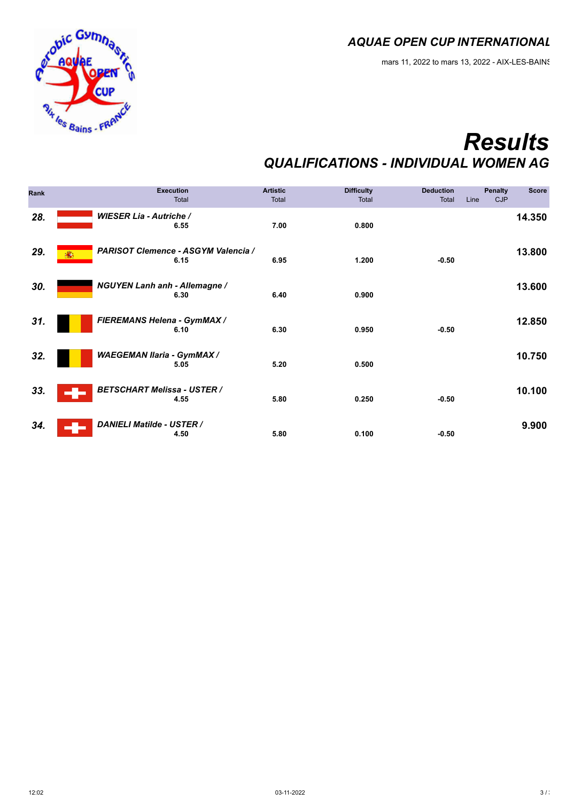

## *Results QUALIFICATIONS - INDIVIDUAL WOMEN AG*

| Rank | <b>Execution</b><br>Total                        | <b>Artistic</b><br>Total | <b>Difficulty</b><br>Total | <b>Deduction</b><br>Total | <b>Penalty</b><br>Line<br><b>CJP</b> | <b>Score</b> |
|------|--------------------------------------------------|--------------------------|----------------------------|---------------------------|--------------------------------------|--------------|
| 28.  | <b>WIESER Lia - Autriche /</b><br>6.55           | 7.00                     | 0.800                      |                           |                                      | 14.350       |
| 29.  | PARISOT Clemence - ASGYM Valencia /<br>春<br>6.15 | 6.95                     | 1.200                      | $-0.50$                   |                                      | 13.800       |
| 30.  | <b>NGUYEN Lanh anh - Allemagne /</b><br>6.30     | 6.40                     | 0.900                      |                           |                                      | 13.600       |
| 31.  | FIEREMANS Helena - GymMAX /<br>6.10              | 6.30                     | 0.950                      | $-0.50$                   |                                      | 12.850       |
| 32.  | <b>WAEGEMAN Ilaria - GymMAX /</b><br>5.05        | 5.20                     | 0.500                      |                           |                                      | 10.750       |
| 33.  | <b>BETSCHART Melissa - USTER /</b><br>4.55       | 5.80                     | 0.250                      | $-0.50$                   |                                      | 10.100       |
| 34.  | <b>DANIELI Matilde - USTER /</b><br>4.50         | 5.80                     | 0.100                      | $-0.50$                   |                                      | 9.900        |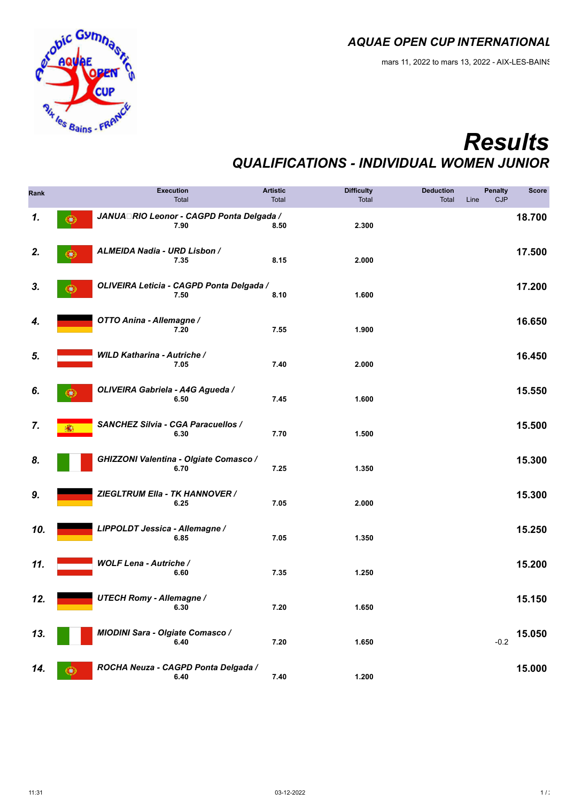

## *Results QUALIFICATIONS - INDIVIDUAL WOMEN JUNIOR*

| Rank |    |                                    | <b>Execution</b><br>Total                        | <b>Artistic</b><br>Total | <b>Difficulty</b><br>Total | <b>Deduction</b><br>Total | <b>Penalty</b><br>CJP<br>Line | <b>Score</b> |
|------|----|------------------------------------|--------------------------------------------------|--------------------------|----------------------------|---------------------------|-------------------------------|--------------|
| 1.   | 0  |                                    | JANUA RIO Leonor - CAGPD Ponta Delgada /<br>7.90 | 8.50                     | 2.300                      |                           |                               | 18.700       |
| 2.   | ω  | ALMEIDA Nadia - URD Lisbon /       | 7.35                                             | 8.15                     | 2.000                      |                           |                               | 17.500       |
| 3.   | σ  |                                    | OLIVEIRA Leticia - CAGPD Ponta Delgada /<br>7.50 | 8.10                     | 1.600                      |                           |                               | 17.200       |
| 4.   |    | OTTO Anina - Allemagne /           | 7.20                                             | 7.55                     | 1.900                      |                           |                               | 16.650       |
| 5.   |    | <b>WILD Katharina - Autriche /</b> | 7.05                                             | 7.40                     | 2.000                      |                           |                               | 16.450       |
| 6.   | ÷. | OLIVEIRA Gabriela - A4G Agueda /   | 6.50                                             | 7.45                     | 1.600                      |                           |                               | 15.550       |
| 7.   |    | SANCHEZ Silvia - CGA Paracuellos / | 6.30                                             | 7.70                     | 1.500                      |                           |                               | 15.500       |
| 8.   |    |                                    | GHIZZONI Valentina - Olgiate Comasco /<br>6.70   | 7.25                     | 1.350                      |                           |                               | 15.300       |
| 9.   |    | ZIEGLTRUM Ella - TK HANNOVER /     | 6.25                                             | 7.05                     | 2.000                      |                           |                               | 15.300       |
| 10.  |    | LIPPOLDT Jessica - Allemagne /     | 6.85                                             | 7.05                     | 1.350                      |                           |                               | 15.250       |
| 11.  |    | <b>WOLF Lena - Autriche /</b>      | 6.60                                             | 7.35                     | 1.250                      |                           |                               | 15.200       |
| 12.  |    | <b>UTECH Romy - Allemagne /</b>    | 6.30                                             | 7.20                     | 1.650                      |                           |                               | 15.150       |
| 13.  |    | MIODINI Sara - Olgiate Comasco /   | 6.40                                             | 7.20                     | 1.650                      |                           | $-0.2$                        | 15.050       |
| 14.  | Ю, |                                    | ROCHA Neuza - CAGPD Ponta Delgada /<br>6.40      | 7.40                     | 1.200                      |                           |                               | 15.000       |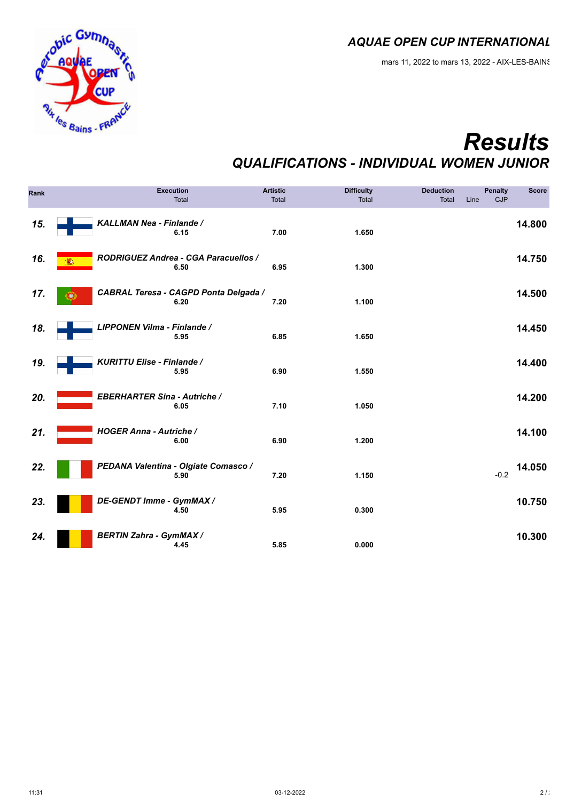

## *Results QUALIFICATIONS - INDIVIDUAL WOMEN JUNIOR*

| Rank |                                     | <b>Execution</b><br>Total                     | <b>Artistic</b><br>Total | <b>Difficulty</b><br>Total | <b>Deduction</b><br><b>Total</b> | Line | <b>Penalty</b><br>CJP | <b>Score</b> |
|------|-------------------------------------|-----------------------------------------------|--------------------------|----------------------------|----------------------------------|------|-----------------------|--------------|
| 15.  | KALLMAN Nea - Finlande /            | 6.15                                          | 7.00                     | 1.650                      |                                  |      |                       | 14.800       |
| 16.  |                                     | RODRIGUEZ Andrea - CGA Paracuellos /<br>6.50  | 6.95                     | 1.300                      |                                  |      |                       | 14.750       |
| 17.  |                                     | CABRAL Teresa - CAGPD Ponta Delgada /<br>6.20 | 7.20                     | 1.100                      |                                  |      |                       | 14.500       |
| 18.  | LIPPONEN Vilma - Finlande /         | 5.95                                          | 6.85                     | 1.650                      |                                  |      |                       | 14.450       |
| 19.  | KURITTU Elise - Finlande /          | 5.95                                          | 6.90                     | 1.550                      |                                  |      |                       | 14.400       |
| 20.  | <b>EBERHARTER Sina - Autriche /</b> | 6.05                                          | 7.10                     | 1.050                      |                                  |      |                       | 14.200       |
| 21.  | <b>HOGER Anna - Autriche /</b>      | 6.00                                          | 6.90                     | 1.200                      |                                  |      |                       | 14.100       |
| 22.  |                                     | PEDANA Valentina - Olgiate Comasco /<br>5.90  | 7.20                     | 1.150                      |                                  |      | $-0.2$                | 14.050       |
| 23.  | DE-GENDT Imme - GymMAX /            | 4.50                                          | 5.95                     | 0.300                      |                                  |      |                       | 10.750       |
| 24.  | <b>BERTIN Zahra - GymMAX /</b>      | 4.45                                          | 5.85                     | 0.000                      |                                  |      |                       | 10.300       |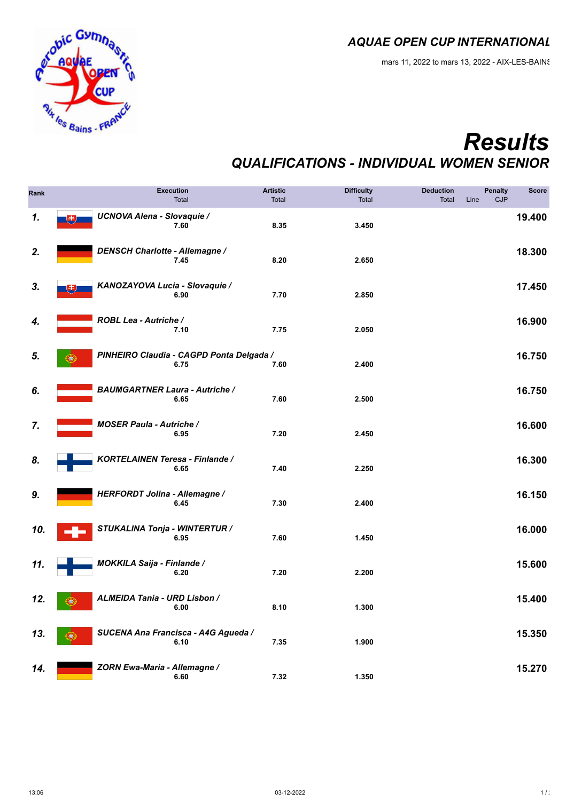

## *Results QUALIFICATIONS - INDIVIDUAL WOMEN SENIOR*

| Rank |                                        | <b>Execution</b><br>Total                        | <b>Artistic</b><br><b>Total</b> | <b>Difficulty</b><br>Total | <b>Deduction</b><br>Total | <b>Penalty</b><br>CJP<br>Line | <b>Score</b> |
|------|----------------------------------------|--------------------------------------------------|---------------------------------|----------------------------|---------------------------|-------------------------------|--------------|
| 1.   | <b>UCNOVA Alena - Slovaquie /</b><br>电 | 7.60                                             | 8.35                            | 3.450                      |                           |                               | 19.400       |
| 2.   | DENSCH Charlotte - Allemagne /         | 7.45                                             | 8.20                            | 2.650                      |                           |                               | 18.300       |
| 3.   | KANOZAYOVA Lucia - Slovaquie /<br>书丿   | 6.90                                             | 7.70                            | 2.850                      |                           |                               | 17.450       |
| 4.   | ROBL Lea - Autriche /                  | 7.10                                             | 7.75                            | 2.050                      |                           |                               | 16.900       |
| 5.   | U.                                     | PINHEIRO Claudia - CAGPD Ponta Delgada /<br>6.75 | 7.60                            | 2.400                      |                           |                               | 16.750       |
| 6.   | <b>BAUMGARTNER Laura - Autriche /</b>  | 6.65                                             | 7.60                            | 2.500                      |                           |                               | 16.750       |
| 7.   | <b>MOSER Paula - Autriche /</b>        | 6.95                                             | 7.20                            | 2.450                      |                           |                               | 16.600       |
| 8.   | KORTELAINEN Teresa - Finlande /        | 6.65                                             | 7.40                            | 2.250                      |                           |                               | 16.300       |
| 9.   | HERFORDT Jolina - Allemagne /          | 6.45                                             | 7.30                            | 2.400                      |                           |                               | 16.150       |
| 10.  | STUKALINA Tonja - WINTERTUR /          | 6.95                                             | 7.60                            | 1.450                      |                           |                               | 16.000       |
| 11.  | <b>MOKKILA Saija - Finlande /</b>      | 6.20                                             | 7.20                            | 2.200                      |                           |                               | 15.600       |
| 12.  | ALMEIDA Tania - URD Lisbon /<br>Œ.     | 6.00                                             | 8.10                            | 1.300                      |                           |                               | 15.400       |
| 13.  | œ                                      | SUCENA Ana Francisca - A4G Agueda /<br>6.10      | 7.35                            | 1.900                      |                           |                               | 15.350       |
| 14.  | ZORN Ewa-Maria - Allemagne /           | 6.60                                             | 7.32                            | 1.350                      |                           |                               | 15.270       |